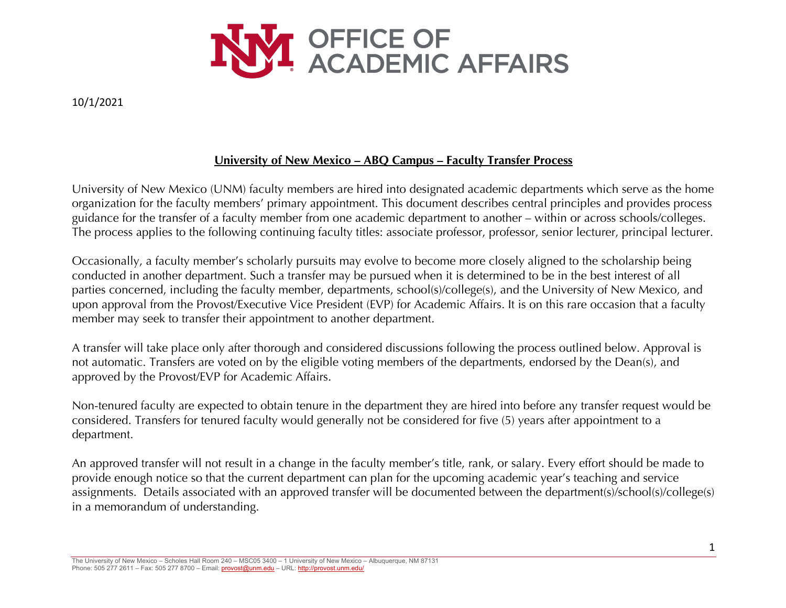

# **University of New Mexico – ABQ Campus – Faculty Transfer Process**

University of New Mexico (UNM) faculty members are hired into designated academic departments which serve as the home organization for the faculty members' primary appointment. This document describes central principles and provides process guidance for the transfer of a faculty member from one academic department to another – within or across schools/colleges. The process applies to the following continuing faculty titles: associate professor, professor, senior lecturer, principal lecturer.

Occasionally, a faculty member's scholarly pursuits may evolve to become more closely aligned to the scholarship being conducted in another department. Such a transfer may be pursued when it is determined to be in the best interest of all parties concerned, including the faculty member, departments, school(s)/college(s), and the University of New Mexico, and upon approval from the Provost/Executive Vice President (EVP) for Academic Affairs. It is on this rare occasion that a faculty member may seek to transfer their appointment to another department.

A transfer will take place only after thorough and considered discussions following the process outlined below. Approval is not automatic. Transfers are voted on by the eligible voting members of the departments, endorsed by the Dean(s), and approved by the Provost/EVP for Academic Affairs.

Non-tenured faculty are expected to obtain tenure in the department they are hired into before any transfer request would be considered. Transfers for tenured faculty would generally not be considered for five (5) years after appointment to a department.

An approved transfer will not result in a change in the faculty member's title, rank, or salary. Every effort should be made to provide enough notice so that the current department can plan for the upcoming academic year's teaching and service assignments. Details associated with an approved transfer will be documented between the department(s)/school(s)/college(s) in a memorandum of understanding.

The University of New Mexico – Scholes Hall Room 240 – MSC05 3400 – 1 University of New Mexico – Albuquerque, NM 87131 Phone: 505 277 2611 – Fax: 505 277 8700 – Email: provost@unm.edu – URL: http://provost.unm.edu/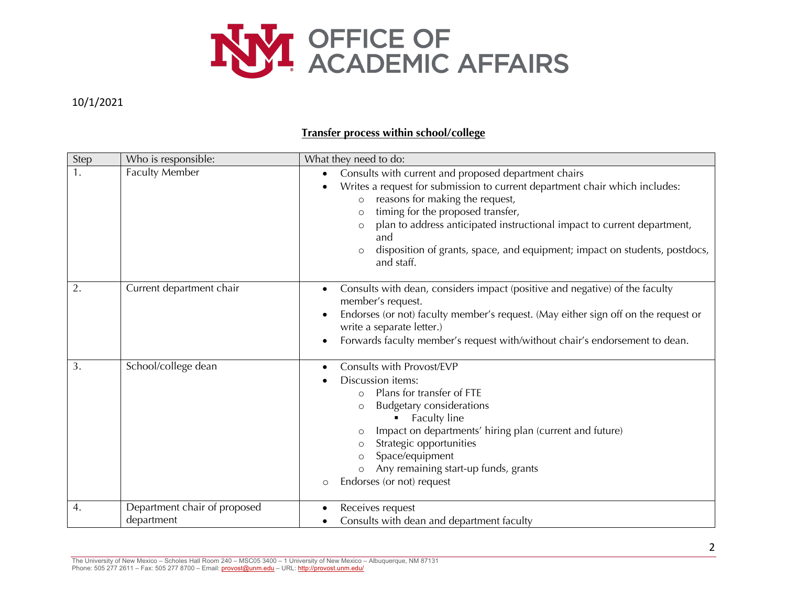

## **Transfer process within school/college**

| Step | Who is responsible:                        | What they need to do:                                                                                                                                                                                                                                                                                                                                                                                                                   |
|------|--------------------------------------------|-----------------------------------------------------------------------------------------------------------------------------------------------------------------------------------------------------------------------------------------------------------------------------------------------------------------------------------------------------------------------------------------------------------------------------------------|
| 1.   | Faculty Member                             | Consults with current and proposed department chairs<br>$\bullet$<br>Writes a request for submission to current department chair which includes:<br>reasons for making the request,<br>$\circ$<br>timing for the proposed transfer,<br>$\circ$<br>plan to address anticipated instructional impact to current department,<br>and<br>disposition of grants, space, and equipment; impact on students, postdocs,<br>$\circ$<br>and staff. |
| 2.   | Current department chair                   | Consults with dean, considers impact (positive and negative) of the faculty<br>$\bullet$<br>member's request.<br>Endorses (or not) faculty member's request. (May either sign off on the request or<br>$\bullet$<br>write a separate letter.)<br>Forwards faculty member's request with/without chair's endorsement to dean.                                                                                                            |
| 3.   | School/college dean                        | Consults with Provost/EVP<br>Discussion items:<br>Plans for transfer of FTE<br>$\circ$<br><b>Budgetary considerations</b><br>$\circ$<br>Faculty line<br>Impact on departments' hiring plan (current and future)<br>$\circ$<br>Strategic opportunities<br>$\circ$<br>Space/equipment<br>Any remaining start-up funds, grants<br>Endorses (or not) request<br>$\circ$                                                                     |
| 4.   | Department chair of proposed<br>department | Receives request<br>Consults with dean and department faculty                                                                                                                                                                                                                                                                                                                                                                           |

The University of New Mexico – Scholes Hall Room 240 – MSC05 3400 – 1 University of New Mexico – Albuquerque, NM 87131 Phone: 505 277 2611 – Fax: 505 277 8700 – Email: provost@unm.edu – URL: http://provost.unm.edu/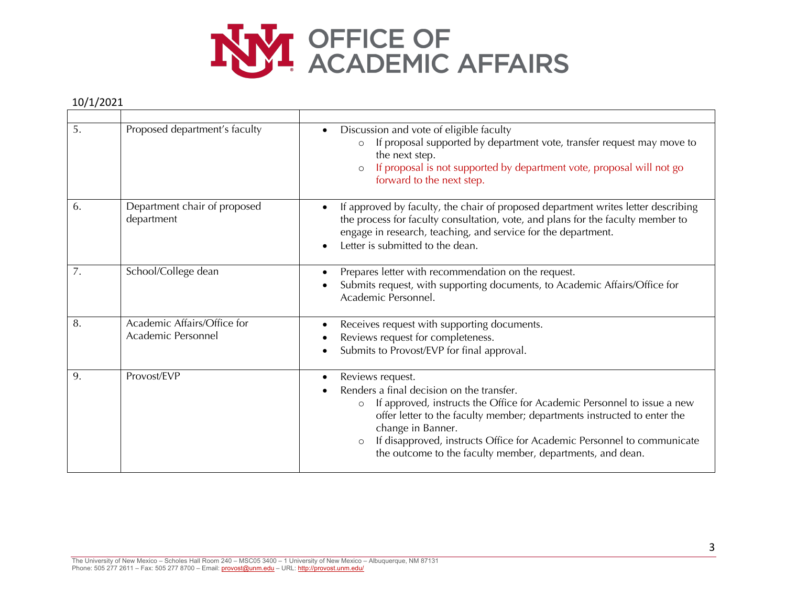

| 5. | Proposed department's faculty                     | Discussion and vote of eligible faculty<br>$\bullet$<br>If proposal supported by department vote, transfer request may move to<br>$\circ$<br>the next step.<br>If proposal is not supported by department vote, proposal will not go<br>$\circ$<br>forward to the next step.                                                                                                                                       |
|----|---------------------------------------------------|--------------------------------------------------------------------------------------------------------------------------------------------------------------------------------------------------------------------------------------------------------------------------------------------------------------------------------------------------------------------------------------------------------------------|
| 6. | Department chair of proposed<br>department        | If approved by faculty, the chair of proposed department writes letter describing<br>$\bullet$<br>the process for faculty consultation, vote, and plans for the faculty member to<br>engage in research, teaching, and service for the department.<br>Letter is submitted to the dean.<br>$\bullet$                                                                                                                |
| 7. | School/College dean                               | Prepares letter with recommendation on the request.<br>$\bullet$<br>Submits request, with supporting documents, to Academic Affairs/Office for<br>Academic Personnel.                                                                                                                                                                                                                                              |
| 8. | Academic Affairs/Office for<br>Academic Personnel | Receives request with supporting documents.<br>$\bullet$<br>Reviews request for completeness.<br>Submits to Provost/EVP for final approval.                                                                                                                                                                                                                                                                        |
| 9. | Provost/EVP                                       | Reviews request.<br>$\bullet$<br>Renders a final decision on the transfer.<br>If approved, instructs the Office for Academic Personnel to issue a new<br>$\circ$<br>offer letter to the faculty member; departments instructed to enter the<br>change in Banner.<br>If disapproved, instructs Office for Academic Personnel to communicate<br>$\circ$<br>the outcome to the faculty member, departments, and dean. |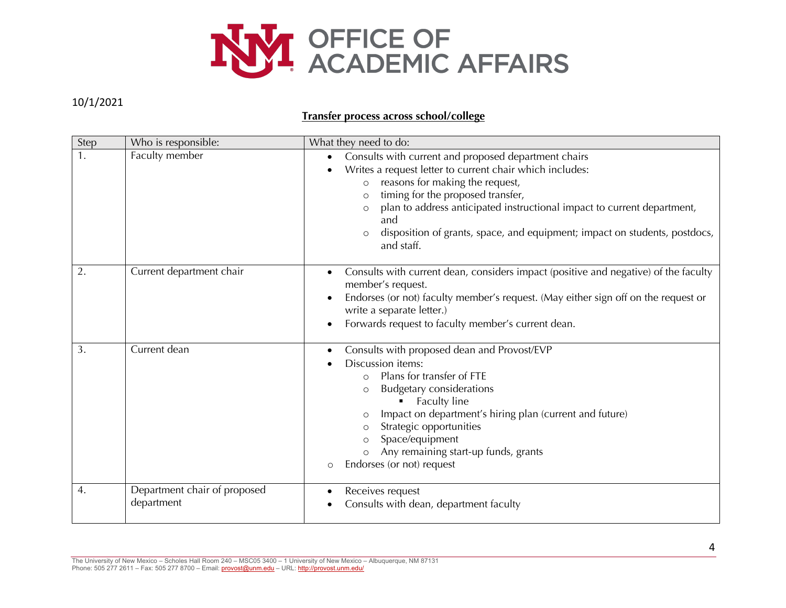

### **Transfer process across school/college**

| Step           | Who is responsible:                        | What they need to do:                                                                                                                                                                                                                                                                                                                                                                                                |
|----------------|--------------------------------------------|----------------------------------------------------------------------------------------------------------------------------------------------------------------------------------------------------------------------------------------------------------------------------------------------------------------------------------------------------------------------------------------------------------------------|
| $\mathbf{1}$ . | Faculty member                             | Consults with current and proposed department chairs<br>$\bullet$<br>Writes a request letter to current chair which includes:<br>reasons for making the request,<br>$\circ$<br>timing for the proposed transfer,<br>$\circ$<br>plan to address anticipated instructional impact to current department,<br>and<br>disposition of grants, space, and equipment; impact on students, postdocs,<br>$\circ$<br>and staff. |
| 2.             | Current department chair                   | Consults with current dean, considers impact (positive and negative) of the faculty<br>member's request.<br>Endorses (or not) faculty member's request. (May either sign off on the request or<br>write a separate letter.)<br>Forwards request to faculty member's current dean.                                                                                                                                    |
| 3.             | Current dean                               | Consults with proposed dean and Provost/EVP<br>Discussion items:<br>Plans for transfer of FTE<br>$\circ$<br><b>Budgetary considerations</b><br>$\circ$<br>Faculty line<br>Impact on department's hiring plan (current and future)<br>$\circ$<br>Strategic opportunities<br>Space/equipment<br>Any remaining start-up funds, grants<br>Endorses (or not) request<br>$\circ$                                           |
| 4.             | Department chair of proposed<br>department | Receives request<br>Consults with dean, department faculty                                                                                                                                                                                                                                                                                                                                                           |

The University of New Mexico – Scholes Hall Room 240 – MSC05 3400 – 1 University of New Mexico – Albuquerque, NM 87131 Phone: 505 277 2611 – Fax: 505 277 8700 – Email: provost@unm.edu – URL: http://provost.unm.edu/